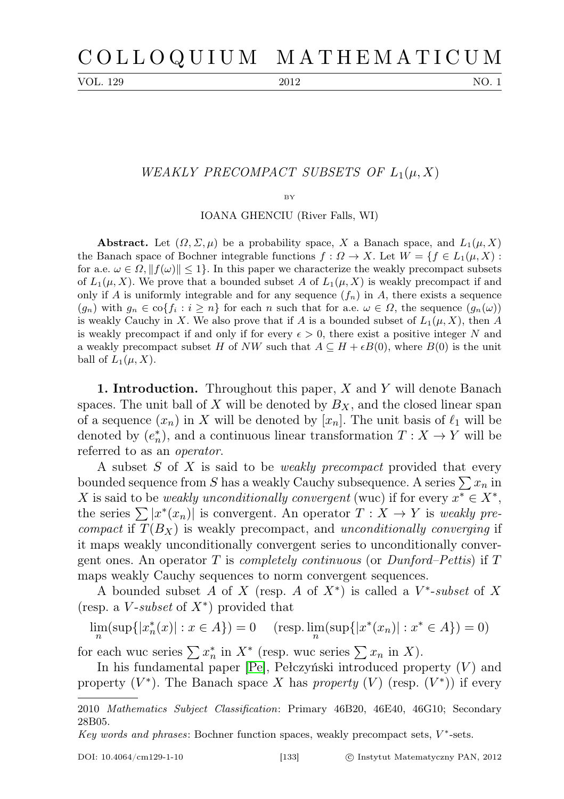VOL. 129 2012 NO. 1

## WEAKLY PRECOMPACT SUBSETS OF  $L_1(\mu,X)$

BY

IOANA GHENCIU (River Falls, WI)

**Abstract.** Let  $(\Omega, \Sigma, \mu)$  be a probability space, X a Banach space, and  $L_1(\mu, X)$ the Banach space of Bochner integrable functions  $f: \Omega \to X$ . Let  $W = \{f \in L_1(\mu, X) :$ for a.e.  $\omega \in \Omega$ ,  $||f(\omega)|| \leq 1$ . In this paper we characterize the weakly precompact subsets of  $L_1(\mu, X)$ . We prove that a bounded subset A of  $L_1(\mu, X)$  is weakly precompact if and only if A is uniformly integrable and for any sequence  $(f_n)$  in A, there exists a sequence  $(g_n)$  with  $g_n \in \text{co}\{f_i : i \geq n\}$  for each n such that for a.e.  $\omega \in \Omega$ , the sequence  $(g_n(\omega))$ is weakly Cauchy in X. We also prove that if A is a bounded subset of  $L_1(\mu, X)$ , then A is weakly precompact if and only if for every  $\epsilon > 0$ , there exist a positive integer N and a weakly precompact subset H of NW such that  $A \subseteq H + \epsilon B(0)$ , where  $B(0)$  is the unit ball of  $L_1(\mu, X)$ .

1. Introduction. Throughout this paper, X and Y will denote Banach spaces. The unit ball of X will be denoted by  $B_X$ , and the closed linear span of a sequence  $(x_n)$  in X will be denoted by  $[x_n]$ . The unit basis of  $\ell_1$  will be denoted by  $(e_n^*)$ , and a continuous linear transformation  $T: X \to Y$  will be referred to as an operator.

A subset S of X is said to be weakly precompact provided that every bounded sequence from S has a weakly Cauchy subsequence. A series  $\sum x_n$  in X is said to be weakly unconditionally convergent (wuc) if for every  $x^* \in X^*$ , the series  $\sum |x^*(x_n)|$  is convergent. An operator  $T : X \to Y$  is weakly precompact if  $T(B_X)$  is weakly precompact, and unconditionally converging if it maps weakly unconditionally convergent series to unconditionally convergent ones. An operator T is *completely continuous* (or *Dunford–Pettis*) if T maps weakly Cauchy sequences to norm convergent sequences.

A bounded subset A of X (resp. A of  $X^*$ ) is called a  $V^*$ -subset of X (resp. a  $V$ -subset of  $X^*$ ) provided that

$$
\lim_{n} (\sup\{|x_n^*(x)| : x \in A\}) = 0 \quad (\text{resp. } \lim_{n} (\sup\{|x^*(x_n)| : x^* \in A\}) = 0)
$$

for each wuc series  $\sum x_n^*$  in  $X^*$  (resp. wuc series  $\sum x_n$  in X).

In his fundamental paper  $[Pe]$ , Pełczyński introduced property  $(V)$  and property  $(V^*)$ . The Banach space X has property  $(V)$  (resp.  $(V^*)$ ) if every

<sup>2010</sup> Mathematics Subject Classification: Primary 46B20, 46E40, 46G10; Secondary 28B05.

Key words and phrases: Bochner function spaces, weakly precompact sets,  $V^*$ -sets.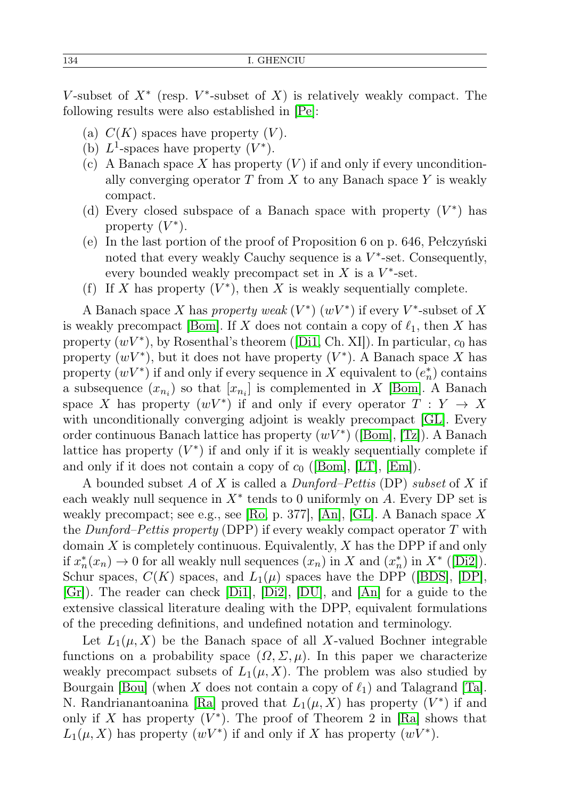V-subset of  $X^*$  (resp. V<sup>\*</sup>-subset of X) is relatively weakly compact. The following results were also established in [\[Pe\]](#page-10-0):

- (a)  $C(K)$  spaces have property  $(V)$ .
- (b)  $L^1$ -spaces have property  $(V^*)$ .
- (c) A Banach space X has property  $(V)$  if and only if every unconditionally converging operator  $T$  from  $X$  to any Banach space  $Y$  is weakly compact.
- (d) Every closed subspace of a Banach space with property  $(V^*)$  has property  $(V^*)$ .
- (e) In the last portion of the proof of Proposition 6 on p. 646, Pełczyński noted that every weakly Cauchy sequence is a  $V^*$ -set. Consequently, every bounded weakly precompact set in  $X$  is a  $V^*$ -set.
- (f) If X has property  $(V^*)$ , then X is weakly sequentially complete.

A Banach space X has property weak  $(V^*)$   $(wV^*)$  if every  $V^*$ -subset of X is weakly precompact [\[Bom\]](#page-9-0). If X does not contain a copy of  $\ell_1$ , then X has property  $(wV^*)$ , by Rosenthal's theorem ([\[Di1,](#page-9-1) Ch. XI]). In particular,  $c_0$  has property  $(wV^*)$ , but it does not have property  $(V^*)$ . A Banach space X has property  $(wV^*)$  if and only if every sequence in X equivalent to  $(e_n^*)$  contains a subsequence  $(x_{n_i})$  so that  $[x_{n_i}]$  is complemented in X [\[Bom\]](#page-9-0). A Banach space X has property  $(wV^*)$  if and only if every operator  $T: Y \to X$ with unconditionally converging adjoint is weakly precompact [\[GL\]](#page-10-1). Every order continuous Banach lattice has property  $(wV^*)$  ([\[Bom\]](#page-9-0), [\[Tz\]](#page-10-2)). A Banach lattice has property  $(V^*)$  if and only if it is weakly sequentially complete if and only if it does not contain a copy of  $c_0$  ([\[Bom\]](#page-9-0), [\[LT\]](#page-10-3), [\[Em\]](#page-10-4)).

A bounded subset  $A$  of  $X$  is called a  $Dunford-Pettis$  (DP) subset of  $X$  if each weakly null sequence in  $X^*$  tends to 0 uniformly on A. Every DP set is weakly precompact; see e.g., see [\[Ro,](#page-10-5) p. 377], [\[An\]](#page-9-2), [\[GL\]](#page-10-1). A Banach space X the Dunford–Pettis property (DPP) if every weakly compact operator T with domain  $X$  is completely continuous. Equivalently,  $X$  has the DPP if and only if  $x_n^*(x_n) \to 0$  for all weakly null sequences  $(x_n)$  in X and  $(x_n^*)$  in  $X^*$  ([\[Di2\]](#page-9-3)). Schur spaces,  $C(K)$  spaces, and  $L_1(\mu)$  spaces have the DPP ([\[BDS\]](#page-9-4), [\[DP\]](#page-10-6), [\[Gr\]](#page-10-7)). The reader can check [\[Di1\]](#page-9-1), [\[Di2\]](#page-9-3), [\[DU\]](#page-9-5), and [\[An\]](#page-9-2) for a guide to the extensive classical literature dealing with the DPP, equivalent formulations of the preceding definitions, and undefined notation and terminology.

Let  $L_1(\mu, X)$  be the Banach space of all X-valued Bochner integrable functions on a probability space  $(\Omega, \Sigma, \mu)$ . In this paper we characterize weakly precompact subsets of  $L_1(\mu, X)$ . The problem was also studied by Bourgain [\[Bou\]](#page-9-6) (when X does not contain a copy of  $\ell_1$ ) and Talagrand [\[Ta\]](#page-10-8). N. Randrianantoanina [\[Ra\]](#page-10-9) proved that  $L_1(\mu, X)$  has property  $(V^*)$  if and only if X has property  $(V^*)$ . The proof of Theorem 2 in [\[Ra\]](#page-10-9) shows that  $L_1(\mu, X)$  has property  $(wV^*)$  if and only if X has property  $(wV^*)$ .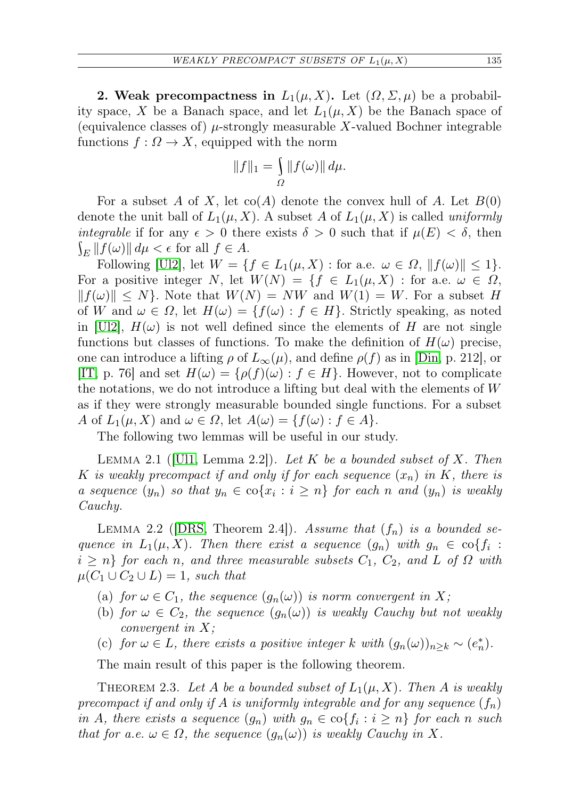2. Weak precompactness in  $L_1(\mu, X)$ . Let  $(\Omega, \Sigma, \mu)$  be a probability space, X be a Banach space, and let  $L_1(\mu, X)$  be the Banach space of (equivalence classes of)  $\mu$ -strongly measurable X-valued Bochner integrable functions  $f: \Omega \to X$ , equipped with the norm

$$
||f||_1 = \int_{\Omega} ||f(\omega)|| d\mu.
$$

For a subset A of X, let  $co(A)$  denote the convex hull of A. Let  $B(0)$ denote the unit ball of  $L_1(\mu, X)$ . A subset A of  $L_1(\mu, X)$  is called uniformly integrable if for any  $\epsilon > 0$  there exists  $\delta > 0$  such that if  $\mu(E) < \delta$ , then  $\int_E ||f(\omega)|| d\mu < \epsilon$  for all  $f \in A$ .

Following [\[Ul2\]](#page-10-10), let  $W = \{f \in L_1(\mu, X) : \text{for a.e. } \omega \in \Omega, ||f(\omega)|| \leq 1\}.$ For a positive integer N, let  $W(N) = \{f \in L_1(\mu, X) : \text{for a.e. } \omega \in \Omega, \}$  $||f(\omega)|| \leq N$ . Note that  $W(N) = NW$  and  $W(1) = W$ . For a subset H of W and  $\omega \in \Omega$ , let  $H(\omega) = \{f(\omega) : f \in H\}$ . Strictly speaking, as noted in  $[\text{U12}]$ ,  $H(\omega)$  is not well defined since the elements of H are not single functions but classes of functions. To make the definition of  $H(\omega)$  precise, one can introduce a lifting  $\rho$  of  $L_{\infty}(\mu)$ , and define  $\rho(f)$  as in [\[Din,](#page-9-7) p. 212], or [\[IT,](#page-10-11) p. 76] and set  $H(\omega) = \{\rho(f)(\omega) : f \in H\}$ . However, not to complicate the notations, we do not introduce a lifting but deal with the elements of  $W$ as if they were strongly measurable bounded single functions. For a subset A of  $L_1(\mu, X)$  and  $\omega \in \Omega$ , let  $A(\omega) = \{f(\omega) : f \in A\}.$ 

The following two lemmas will be useful in our study.

<span id="page-2-1"></span>LEMMA 2.1 ([\[Ul1,](#page-10-12) Lemma 2.2]). Let K be a bounded subset of X. Then K is weakly precompact if and only if for each sequence  $(x_n)$  in K, there is a sequence  $(y_n)$  so that  $y_n \in \text{co}\{x_i : i \geq n\}$  for each n and  $(y_n)$  is weakly Cauchy.

<span id="page-2-0"></span>LEMMA 2.2 ([\[DRS,](#page-9-8) Theorem 2.4]). Assume that  $(f_n)$  is a bounded sequence in  $L_1(\mu, X)$ . Then there exist a sequence  $(g_n)$  with  $g_n \in \text{co}\{f_i :$  $i \geq n$  for each n, and three measurable subsets  $C_1$ ,  $C_2$ , and L of  $\Omega$  with  $\mu(C_1 \cup C_2 \cup L) = 1$ , such that

- (a) for  $\omega \in C_1$ , the sequence  $(g_n(\omega))$  is norm convergent in X;
- (b) for  $\omega \in C_2$ , the sequence  $(g_n(\omega))$  is weakly Cauchy but not weakly convergent in X;
- (c) for  $\omega \in L$ , there exists a positive integer k with  $(g_n(\omega))_{n \geq k} \sim (e_n^*)$ .

The main result of this paper is the following theorem.

<span id="page-2-2"></span>THEOREM 2.3. Let A be a bounded subset of  $L_1(\mu, X)$ . Then A is weakly precompact if and only if A is uniformly integrable and for any sequence  $(f_n)$ in A, there exists a sequence  $(g_n)$  with  $g_n \in \text{co}\{f_i : i \geq n\}$  for each n such that for a.e.  $\omega \in \Omega$ , the sequence  $(g_n(\omega))$  is weakly Cauchy in X.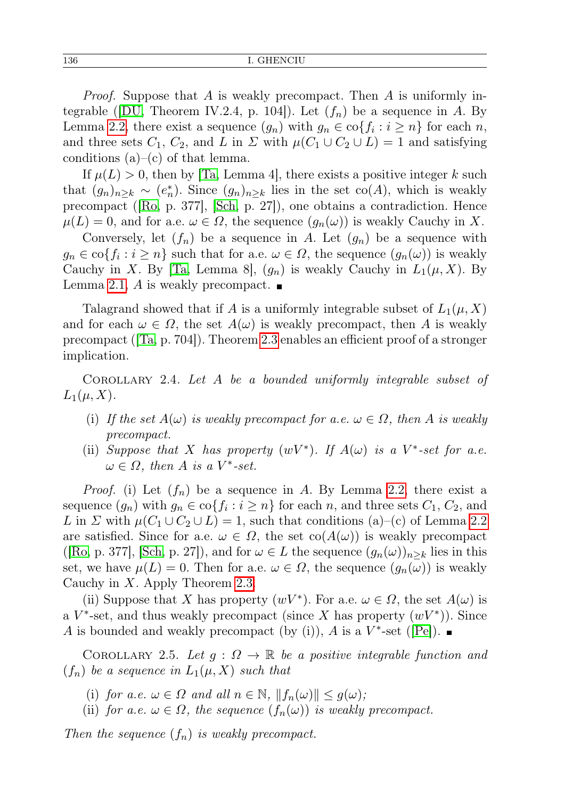Proof. Suppose that A is weakly precompact. Then A is uniformly in-tegrable ([\[DU,](#page-9-5) Theorem IV.2.4, p. 104]). Let  $(f_n)$  be a sequence in A. By Lemma [2.2,](#page-2-0) there exist a sequence  $(g_n)$  with  $g_n \in \text{co}\{f_i : i \geq n\}$  for each n, and three sets  $C_1$ ,  $C_2$ , and L in  $\Sigma$  with  $\mu(C_1 \cup C_2 \cup L) = 1$  and satisfying conditions  $(a)$ – $(c)$  of that lemma.

If  $\mu(L) > 0$ , then by  $|Ta, Lemma 4|$ , there exists a positive integer k such that  $(g_n)_{n\geq k} \sim (e_n^*)$ . Since  $(g_n)_{n\geq k}$  lies in the set  $co(A)$ , which is weakly precompact ([\[Ro,](#page-10-5) p. 377], [\[Sch,](#page-10-13) p. 27]), one obtains a contradiction. Hence  $\mu(L) = 0$ , and for a.e.  $\omega \in \Omega$ , the sequence  $(g_n(\omega))$  is weakly Cauchy in X.

Conversely, let  $(f_n)$  be a sequence in A. Let  $(g_n)$  be a sequence with  $g_n \in \text{co}\{f_i : i \geq n\}$  such that for a.e.  $\omega \in \Omega$ , the sequence  $(g_n(\omega))$  is weakly Cauchy in X. By [\[Ta,](#page-10-8) Lemma 8],  $(g_n)$  is weakly Cauchy in  $L_1(\mu, X)$ . By Lemma [2.1,](#page-2-1) A is weakly precompact.  $\blacksquare$ 

Talagrand showed that if A is a uniformly integrable subset of  $L_1(\mu, X)$ and for each  $\omega \in \Omega$ , the set  $A(\omega)$  is weakly precompact, then A is weakly precompact ([\[Ta,](#page-10-8) p. 704]). Theorem [2.3](#page-2-2) enables an efficient proof of a stronger implication.

<span id="page-3-0"></span>Corollary 2.4. Let A be a bounded uniformly integrable subset of  $L_1(\mu,X)$ .

- (i) If the set  $A(\omega)$  is weakly precompact for a.e.  $\omega \in \Omega$ , then A is weakly precompact.
- (ii) Suppose that X has property  $(wV^*)$ . If  $A(\omega)$  is a V<sup>\*</sup>-set for a.e.  $\omega \in \Omega$ , then A is a V<sup>\*</sup>-set.

*Proof.* (i) Let  $(f_n)$  be a sequence in A. By Lemma [2.2,](#page-2-0) there exist a sequence  $(g_n)$  with  $g_n \in \text{co}\{f_i : i \geq n\}$  for each n, and three sets  $C_1, C_2$ , and L in  $\Sigma$  with  $\mu(C_1 \cup C_2 \cup L) = 1$ , such that conditions (a)–(c) of Lemma [2.2](#page-2-0) are satisfied. Since for a.e.  $\omega \in \Omega$ , the set  $\text{co}(A(\omega))$  is weakly precompact ([\[Ro,](#page-10-5) p. 377], [\[Sch,](#page-10-13) p. 27]), and for  $\omega \in L$  the sequence  $(g_n(\omega))_{n \geq k}$  lies in this set, we have  $\mu(L) = 0$ . Then for a.e.  $\omega \in \Omega$ , the sequence  $(g_n(\omega))$  is weakly Cauchy in X. Apply Theorem [2.3.](#page-2-2)

(ii) Suppose that X has property  $(wV^*)$ . For a.e.  $\omega \in \Omega$ , the set  $A(\omega)$  is a  $V^*$ -set, and thus weakly precompact (since X has property  $(wV^*)$ ). Since A is bounded and weakly precompact (by (i)), A is a  $V^*$ -set ([\[Pe\]](#page-10-0)).

COROLLARY 2.5. Let  $g: \Omega \to \mathbb{R}$  be a positive integrable function and  $(f_n)$  be a sequence in  $L_1(\mu, X)$  such that

(i) for a.e.  $\omega \in \Omega$  and all  $n \in \mathbb{N}$ ,  $||f_n(\omega)|| \leq g(\omega)$ ;

(ii) for a.e.  $\omega \in \Omega$ , the sequence  $(f_n(\omega))$  is weakly precompact.

Then the sequence  $(f_n)$  is weakly precompact.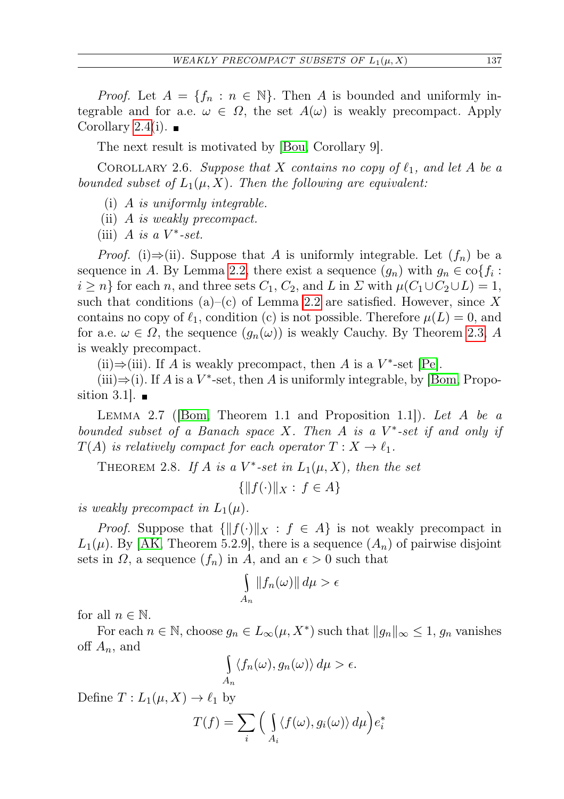*Proof.* Let  $A = \{f_n : n \in \mathbb{N}\}\$ . Then A is bounded and uniformly integrable and for a.e.  $\omega \in \Omega$ , the set  $A(\omega)$  is weakly precompact. Apply Corollary [2.4\(](#page-3-0)i).  $\blacksquare$ 

The next result is motivated by [\[Bou,](#page-9-6) Corollary 9].

COROLLARY 2.6. Suppose that X contains no copy of  $\ell_1$ , and let A be a bounded subset of  $L_1(\mu, X)$ . Then the following are equivalent:

- (i) A is uniformly integrable.
- (ii) A is weakly precompact.
- (iii) A is a  $V^*$ -set.

*Proof.* (i)⇒(ii). Suppose that A is uniformly integrable. Let  $(f_n)$  be a sequence in A. By Lemma [2.2,](#page-2-0) there exist a sequence  $(g_n)$  with  $g_n \in \text{co}\{f_i :$  $i \geq n$  for each n, and three sets  $C_1, C_2$ , and L in  $\Sigma$  with  $\mu(C_1 \cup C_2 \cup L) = 1$ , such that conditions (a)–(c) of Lemma [2.2](#page-2-0) are satisfied. However, since X contains no copy of  $\ell_1$ , condition (c) is not possible. Therefore  $\mu(L) = 0$ , and for a.e.  $\omega \in \Omega$ , the sequence  $(g_n(\omega))$  is weakly Cauchy. By Theorem [2.3,](#page-2-2) A is weakly precompact.

(ii)⇒(iii). If A is weakly precompact, then A is a  $V^*$ -set [\[Pe\]](#page-10-0).

(iii) $\Rightarrow$ (i). If A is a V<sup>\*</sup>-set, then A is uniformly integrable, by [\[Bom,](#page-9-0) Proposition 3.1.

<span id="page-4-0"></span>LEMMA 2.7 (Bom, Theorem 1.1 and Proposition 1.1). Let A be a bounded subset of a Banach space  $X$ . Then  $A$  is a  $V^*$ -set if and only if  $T(A)$  is relatively compact for each operator  $T : X \to \ell_1$ .

THEOREM 2.8. If A is a  $V^*$ -set in  $L_1(\mu, X)$ , then the set

 $\{||f(\cdot)||_X : f \in A\}$ 

is weakly precompact in  $L_1(\mu)$ .

*Proof.* Suppose that  $\{\|f(\cdot)\|_X : f \in A\}$  is not weakly precompact in  $L_1(\mu)$ . By [\[AK,](#page-9-9) Theorem 5.2.9], there is a sequence  $(A_n)$  of pairwise disjoint sets in  $\Omega$ , a sequence  $(f_n)$  in A, and an  $\epsilon > 0$  such that

$$
\int_{A_n} \|f_n(\omega)\| \, d\mu > \epsilon
$$

for all  $n \in \mathbb{N}$ .

For each  $n \in \mathbb{N}$ , choose  $g_n \in L_\infty(\mu, X^*)$  such that  $||g_n||_\infty \leq 1$ ,  $g_n$  vanishes off  $A_n$ , and

$$
\int_{A_n} \langle f_n(\omega), g_n(\omega) \rangle d\mu > \epsilon.
$$

Define  $T: L_1(\mu, X) \to \ell_1$  by

$$
T(f) = \sum_{i} \Big( \int_{A_i} \langle f(\omega), g_i(\omega) \rangle d\mu \Big) e_i^*
$$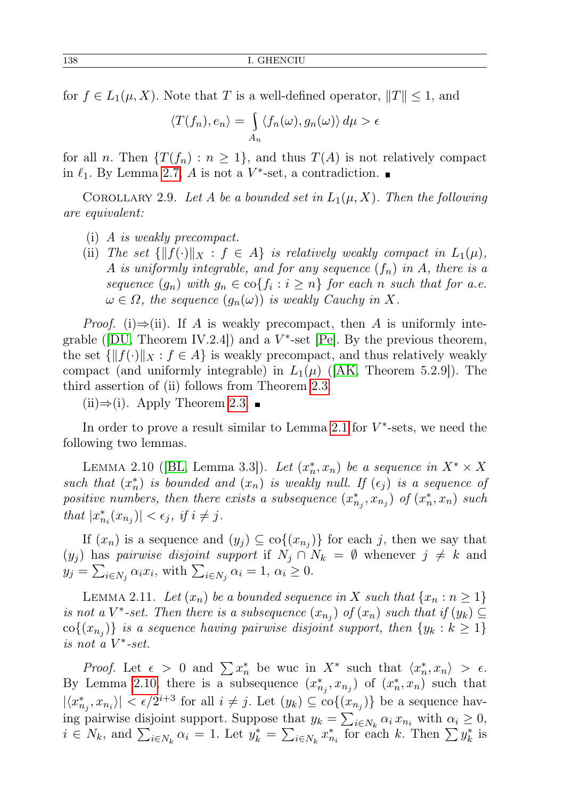for  $f \in L_1(\mu, X)$ . Note that T is a well-defined operator,  $||T|| \leq 1$ , and

$$
\langle T(f_n), e_n \rangle = \int_{A_n} \langle f_n(\omega), g_n(\omega) \rangle d\mu > \epsilon
$$

for all n. Then  $\{T(f_n): n \geq 1\}$ , and thus  $T(A)$  is not relatively compact in  $\ell_1$ . By Lemma [2.7,](#page-4-0) A is not a V<sup>\*</sup>-set, a contradiction.

COROLLARY 2.9. Let A be a bounded set in  $L_1(\mu, X)$ . Then the following are equivalent:

- (i) A is weakly precompact.
- (ii) The set  $\{||f(\cdot)||_X : f \in A\}$  is relatively weakly compact in  $L_1(\mu)$ , A is uniformly integrable, and for any sequence  $(f_n)$  in A, there is a sequence  $(g_n)$  with  $g_n \in \text{co}\{f_i : i \geq n\}$  for each n such that for a.e.  $\omega \in \Omega$ , the sequence  $(g_n(\omega))$  is weakly Cauchy in X.

*Proof.* (i)⇒(ii). If A is weakly precompact, then A is uniformly integrable ( $[DU, Theorem IV.2.4]$  $[DU, Theorem IV.2.4]$ ) and a  $V^*$ -set  $[Pe]$ . By the previous theorem, the set  $\{||f(\cdot)||_X : f \in A\}$  is weakly precompact, and thus relatively weakly compact (and uniformly integrable) in  $L_1(\mu)$  ([\[AK,](#page-9-9) Theorem 5.2.9]). The third assertion of (ii) follows from Theorem [2.3.](#page-2-2)

 $(ii) \Rightarrow (i)$ . Apply Theorem [2.3.](#page-2-2) ■

In order to prove a result similar to Lemma [2.1](#page-2-1) for  $V^*$ -sets, we need the following two lemmas.

<span id="page-5-0"></span>LEMMA 2.10 ([\[BL,](#page-9-10) Lemma 3.3]). Let  $(x_n^*, x_n)$  be a sequence in  $X^* \times X$ such that  $(x_n^*)$  is bounded and  $(x_n)$  is weakly null. If  $(\epsilon_j)$  is a sequence of positive numbers, then there exists a subsequence  $(x_{n_j}^*, x_{n_j})$  of  $(x_n^*, x_n)$  such that  $|x_{n_i}^*(x_{n_j})| < \epsilon_j$ , if  $i \neq j$ .

If  $(x_n)$  is a sequence and  $(y_j) \subseteq \text{co}\{(x_{n_j})\}$  for each j, then we say that  $(y_i)$  has pairwise disjoint support if  $N_i \cap N_k = \emptyset$  whenever  $j \neq k$  and  $y_j = \sum_{i \in N_j} \alpha_i x_i$ , with  $\sum_{i \in N_j} \alpha_i = 1$ ,  $\alpha_i \geq 0$ .

<span id="page-5-1"></span>LEMMA 2.11. Let  $(x_n)$  be a bounded sequence in X such that  $\{x_n : n \geq 1\}$ is not a  $V^*$ -set. Then there is a subsequence  $(x_{n_j})$  of  $(x_n)$  such that if  $(y_k) \subseteq$  $\text{co}\{(x_{n_j})\}$  is a sequence having pairwise disjoint support, then  $\{y_k : k \geq 1\}$ is not a V ∗ -set.

*Proof.* Let  $\epsilon > 0$  and  $\sum x_n^*$  be wuc in  $X^*$  such that  $\langle x_n^*, x_n \rangle > \epsilon$ . By Lemma [2.10,](#page-5-0) there is a subsequence  $(x_{n_j}^*, x_{n_j})$  of  $(x_n^*, x_n)$  such that  $|\langle x_{n_j}^*, x_{n_i}\rangle| < \epsilon/2^{i+3}$  for all  $i \neq j$ . Let  $(y_k) \subseteq \text{co}\{(x_{n_j})\}$  be a sequence having pairwise disjoint support. Suppose that  $y_k = \sum_{i \in N_k} \alpha_i x_{n_i}$  with  $\alpha_i \geq 0$ ,  $i \in N_k$ , and  $\sum_{i \in N_k} \alpha_i = 1$ . Let  $y_k^* = \sum_{i \in N_k} x_{n_i}^*$  for each k. Then  $\sum y_k^*$  is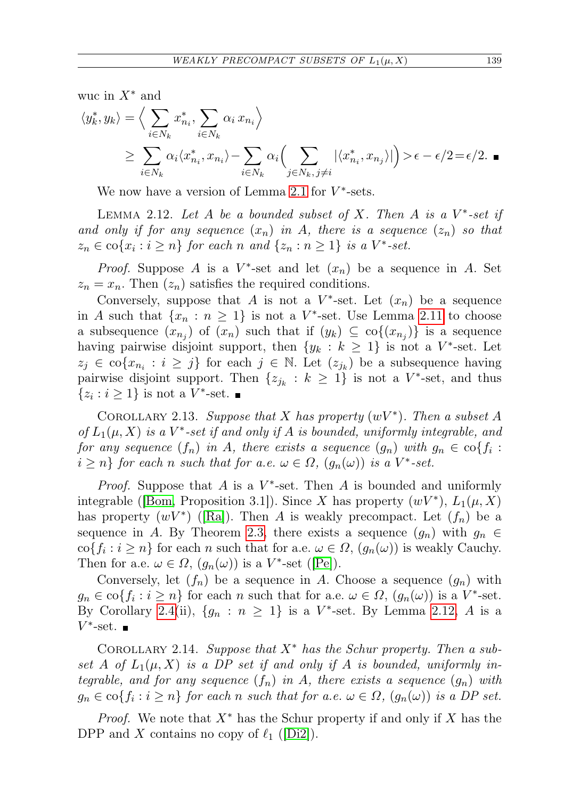wuc in  $X^*$  and

$$
\langle y_k^*, y_k \rangle = \Big\langle \sum_{i \in N_k} x_{n_i}^*, \sum_{i \in N_k} \alpha_i x_{n_i} \Big\rangle
$$
  
 
$$
\geq \sum_{i \in N_k} \alpha_i \langle x_{n_i}^*, x_{n_i} \rangle - \sum_{i \in N_k} \alpha_i \Big( \sum_{j \in N_k, j \neq i} |\langle x_{n_i}^*, x_{n_j} \rangle| \Big) > \epsilon - \epsilon/2 = \epsilon/2.
$$

We now have a version of Lemma [2.1](#page-2-1) for  $V^*$ -sets.

<span id="page-6-0"></span>LEMMA 2.12. Let A be a bounded subset of X. Then A is a  $V^*$ -set if and only if for any sequence  $(x_n)$  in A, there is a sequence  $(z_n)$  so that  $z_n \in \text{co}\{x_i : i \geq n\}$  for each n and  $\{z_n : n \geq 1\}$  is a  $V^*$ -set.

*Proof.* Suppose A is a  $V^*$ -set and let  $(x_n)$  be a sequence in A. Set  $z_n = x_n$ . Then  $(z_n)$  satisfies the required conditions.

Conversely, suppose that A is not a  $V^*$ -set. Let  $(x_n)$  be a sequence in A such that  $\{x_n : n \geq 1\}$  is not a  $V^*$ -set. Use Lemma [2.11](#page-5-1) to choose a subsequence  $(x_{n_j})$  of  $(x_n)$  such that if  $(y_k) \subseteq \text{co}\{(x_{n_j})\}$  is a sequence having pairwise disjoint support, then  $\{y_k : k \geq 1\}$  is not a  $V^*$ -set. Let  $z_j \in \text{co}\{x_{n_i} : i \geq j\}$  for each  $j \in \mathbb{N}$ . Let  $(z_{j_k})$  be a subsequence having pairwise disjoint support. Then  $\{z_{j_k}: k \geq 1\}$  is not a  $V^*$ -set, and thus  $\{z_i : i \geq 1\}$  is not a  $V^*$ -set.

COROLLARY 2.13. Suppose that X has property  $(wV^*)$ . Then a subset A of  $L_1(\mu, X)$  is a V<sup>\*</sup>-set if and only if A is bounded, uniformly integrable, and for any sequence  $(f_n)$  in  $A$ , there exists a sequence  $(g_n)$  with  $g_n \in \text{co}\{f_i :$  $i \geq n$ } for each n such that for a.e.  $\omega \in \Omega$ ,  $(g_n(\omega))$  is a  $V^*$ -set.

*Proof.* Suppose that  $A$  is a  $V^*$ -set. Then  $A$  is bounded and uniformly integrable ([\[Bom,](#page-9-0) Proposition 3.1]). Since X has property  $(wV^*)$ ,  $L_1(\mu, X)$ has property  $(wV^*)$  ([\[Ra\]](#page-10-9)). Then A is weakly precompact. Let  $(f_n)$  be a sequence in A. By Theorem [2.3,](#page-2-2) there exists a sequence  $(g_n)$  with  $g_n \in$  $\text{co}\{f_i : i \geq n\}$  for each n such that for a.e.  $\omega \in \Omega$ ,  $(g_n(\omega))$  is weakly Cauchy. Then for a.e.  $\omega \in \Omega$ ,  $(g_n(\omega))$  is a V<sup>\*</sup>-set ([\[Pe\]](#page-10-0)).

Conversely, let  $(f_n)$  be a sequence in A. Choose a sequence  $(g_n)$  with  $g_n \in \text{co}\{f_i : i \geq n\}$  for each n such that for a.e.  $\omega \in \Omega$ ,  $(g_n(\omega))$  is a V<sup>\*</sup>-set. By Corollary [2.4\(](#page-3-0)ii),  $\{g_n : n \geq 1\}$  is a  $V^*$ -set. By Lemma [2.12,](#page-6-0) A is a  $V^*$ -set.

COROLLARY 2.14. Suppose that  $X^*$  has the Schur property. Then a subset A of  $L_1(\mu, X)$  is a DP set if and only if A is bounded, uniformly integrable, and for any sequence  $(f_n)$  in A, there exists a sequence  $(g_n)$  with  $g_n \in \text{co}\{f_i : i \geq n\}$  for each n such that for a.e.  $\omega \in \Omega$ ,  $(g_n(\omega))$  is a DP set.

*Proof.* We note that  $X^*$  has the Schur property if and only if X has the DPP and X contains no copy of  $\ell_1$  ([\[Di2\]](#page-9-3)).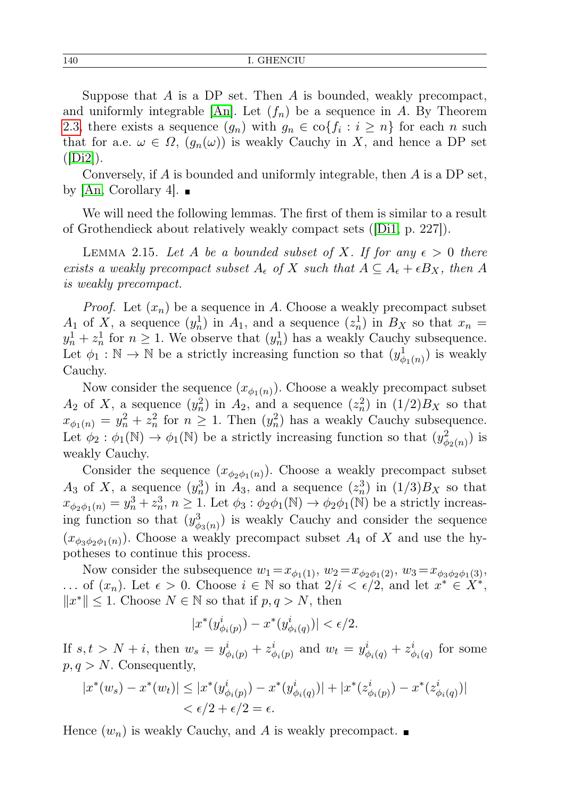Suppose that  $A$  is a DP set. Then  $A$  is bounded, weakly precompact, and uniformly integrable [\[An\]](#page-9-2). Let  $(f_n)$  be a sequence in A. By Theorem [2.3,](#page-2-2) there exists a sequence  $(g_n)$  with  $g_n \in \text{co}\{f_i : i \geq n\}$  for each n such that for a.e.  $\omega \in \Omega$ ,  $(g_n(\omega))$  is weakly Cauchy in X, and hence a DP set  $(|\text{Di2}|)$ .

Conversely, if A is bounded and uniformly integrable, then A is a DP set, by  $|An, Corollary 4|.$ 

We will need the following lemmas. The first of them is similar to a result of Grothendieck about relatively weakly compact sets ([\[Di1,](#page-9-1) p. 227]).

<span id="page-7-0"></span>LEMMA 2.15. Let A be a bounded subset of X. If for any  $\epsilon > 0$  there exists a weakly precompact subset  $A_{\epsilon}$  of X such that  $A \subseteq A_{\epsilon} + \epsilon B_X$ , then A is weakly precompact.

*Proof.* Let  $(x_n)$  be a sequence in A. Choose a weakly precompact subset  $A_1$  of X, a sequence  $(y_n^1)$  in  $A_1$ , and a sequence  $(z_n^1)$  in  $B_X$  so that  $x_n =$  $y_n^1 + z_n^1$  for  $n \ge 1$ . We observe that  $(y_n^1)$  has a weakly Cauchy subsequence. Let  $\phi_1 : \mathbb{N} \to \mathbb{N}$  be a strictly increasing function so that  $(y_{\phi_1(n)}^1)$  is weakly Cauchy.

Now consider the sequence  $(x_{\phi_1(n)})$ . Choose a weakly precompact subset  $A_2$  of X, a sequence  $(y_n^2)$  in  $A_2$ , and a sequence  $(z_n^2)$  in  $(1/2)B_X$  so that  $x_{\phi_1(n)} = y_n^2 + z_n^2$  for  $n \geq 1$ . Then  $(y_n^2)$  has a weakly Cauchy subsequence. Let  $\phi_2 : \phi_1(\mathbb{N}) \to \phi_1(\mathbb{N})$  be a strictly increasing function so that  $(y^2_{\phi_2(n)})$  is weakly Cauchy.

Consider the sequence  $(x_{\phi_2 \phi_1(n)})$ . Choose a weakly precompact subset  $A_3$  of X, a sequence  $(y_n^3)$  in  $A_3$ , and a sequence  $(z_n^3)$  in  $(1/3)B_X$  so that  $x_{\phi_2\phi_1(n)} = y_n^3 + z_n^3$ ,  $n \geq 1$ . Let  $\phi_3 : \phi_2\phi_1(\mathbb{N}) \to \phi_2\phi_1(\mathbb{N})$  be a strictly increasing function so that  $(y_{\phi_3(n)}^3)$  is weakly Cauchy and consider the sequence  $(x_{\phi_3\phi_2\phi_1(n)})$ . Choose a weakly precompact subset  $A_4$  of X and use the hypotheses to continue this process.

Now consider the subsequence  $w_1 = x_{\phi_1(1)}$ ,  $w_2 = x_{\phi_2\phi_1(2)}$ ,  $w_3 = x_{\phi_3\phi_2\phi_1(3)}$ , ... of  $(x_n)$ . Let  $\epsilon > 0$ . Choose  $i \in \mathbb{N}$  so that  $2/i < \epsilon/2$ , and let  $x^* \in X^*$ ,  $||x^*||$  ≤ 1. Choose  $N \in \mathbb{N}$  so that if  $p, q > N$ , then

$$
|x^*(y_{\phi_i(p)}^i)-x^*(y_{\phi_i(q)}^i)| < \epsilon/2.
$$

If  $s, t > N + i$ , then  $w_s = y_{\phi_i(p)}^i + z_{\phi_i(p)}^i$  and  $w_t = y_{\phi_i(q)}^i + z_{\phi_i(q)}^i$  for some  $p, q > N$ . Consequently,

$$
|x^*(w_s) - x^*(w_t)| \le |x^*(y_{\phi_i(p)}^i) - x^*(y_{\phi_i(q)}^i)| + |x^*(z_{\phi_i(p)}^i) - x^*(z_{\phi_i(q)}^i)|
$$
  

$$
< \epsilon/2 + \epsilon/2 = \epsilon.
$$

<span id="page-7-1"></span>Hence  $(w_n)$  is weakly Cauchy, and A is weakly precompact.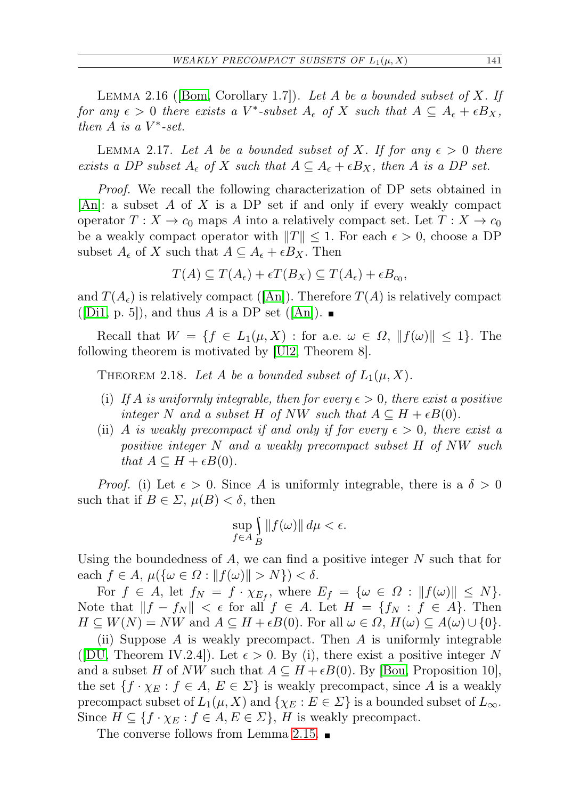LEMMA 2.16 ([\[Bom,](#page-9-0) Corollary 1.7]). Let A be a bounded subset of X. If for any  $\epsilon > 0$  there exists a V<sup>\*</sup>-subset  $A_{\epsilon}$  of X such that  $A \subseteq A_{\epsilon} + \epsilon B_X$ , then  $A$  is a  $V^*$ -set.

<span id="page-8-1"></span>LEMMA 2.17. Let A be a bounded subset of X. If for any  $\epsilon > 0$  there exists a DP subset  $A_{\epsilon}$  of X such that  $A \subseteq A_{\epsilon} + \epsilon B_X$ , then A is a DP set.

Proof. We recall the following characterization of DP sets obtained in  $|An|$ : a subset A of X is a DP set if and only if every weakly compact operator  $T: X \to c_0$  maps A into a relatively compact set. Let  $T: X \to c_0$ be a weakly compact operator with  $||T|| \leq 1$ . For each  $\epsilon > 0$ , choose a DP subset  $A_{\epsilon}$  of X such that  $A \subseteq A_{\epsilon} + \epsilon B_X$ . Then

$$
T(A) \subseteq T(A_{\epsilon}) + \epsilon T(B_X) \subseteq T(A_{\epsilon}) + \epsilon B_{c_0},
$$

and  $T(A_{\epsilon})$  is relatively compact ([\[An\]](#page-9-2)). Therefore  $T(A)$  is relatively compact  $(|D_1, p. 5|)$ , and thus A is a DP set  $(|An|)$ .

Recall that  $W = \{f \in L_1(\mu, X) : \text{for a.e. } \omega \in \Omega, ||f(\omega)|| \leq 1\}.$  The following theorem is motivated by [\[Ul2,](#page-10-10) Theorem 8].

<span id="page-8-0"></span>THEOREM 2.18. Let A be a bounded subset of  $L_1(\mu, X)$ .

- (i) If A is uniformly integrable, then for every  $\epsilon > 0$ , there exist a positive integer N and a subset H of NW such that  $A \subseteq H + \epsilon B(0)$ .
- (ii) A is weakly precompact if and only if for every  $\epsilon > 0$ , there exist a positive integer N and a weakly precompact subset H of NW such that  $A \subseteq H + \epsilon B(0)$ .

*Proof.* (i) Let  $\epsilon > 0$ . Since A is uniformly integrable, there is a  $\delta > 0$ such that if  $B \in \Sigma$ ,  $\mu(B) < \delta$ , then

$$
\sup_{f\in A}\int\limits_{B}\|f(\omega)\|\,d\mu<\epsilon.
$$

Using the boundedness of  $A$ , we can find a positive integer  $N$  such that for each  $f \in A$ ,  $\mu({\{\omega \in \Omega : ||f(\omega)|| > N\}}) < \delta$ .

For  $f \in A$ , let  $f_N = f \cdot \chi_{E_f}$ , where  $E_f = {\omega \in \Omega : ||f(\omega)|| \le N}$ . Note that  $||f - f_N|| < \epsilon$  for all  $f \in A$ . Let  $H = \{f_N : f \in A\}$ . Then  $H \subseteq W(N) = NW$  and  $A \subseteq H + \epsilon B(0)$ . For all  $\omega \in \Omega$ ,  $H(\omega) \subseteq A(\omega) \cup \{0\}$ .

(ii) Suppose  $A$  is weakly precompact. Then  $A$  is uniformly integrable ([\[DU,](#page-9-5) Theorem IV.2.4]). Let  $\epsilon > 0$ . By (i), there exist a positive integer N and a subset H of NW such that  $A \subseteq H + \epsilon B(0)$ . By [\[Bou,](#page-9-6) Proposition 10], the set  $\{f \cdot \chi_E : f \in A, E \in \Sigma\}$  is weakly precompact, since A is a weakly precompact subset of  $L_1(\mu, X)$  and  $\{\chi_E : E \in \Sigma\}$  is a bounded subset of  $L_\infty$ . Since  $H \subseteq \{f \cdot \chi_E : f \in A, E \in \Sigma\}$ , H is weakly precompact.

The converse follows from Lemma [2.15.](#page-7-0)  $\blacksquare$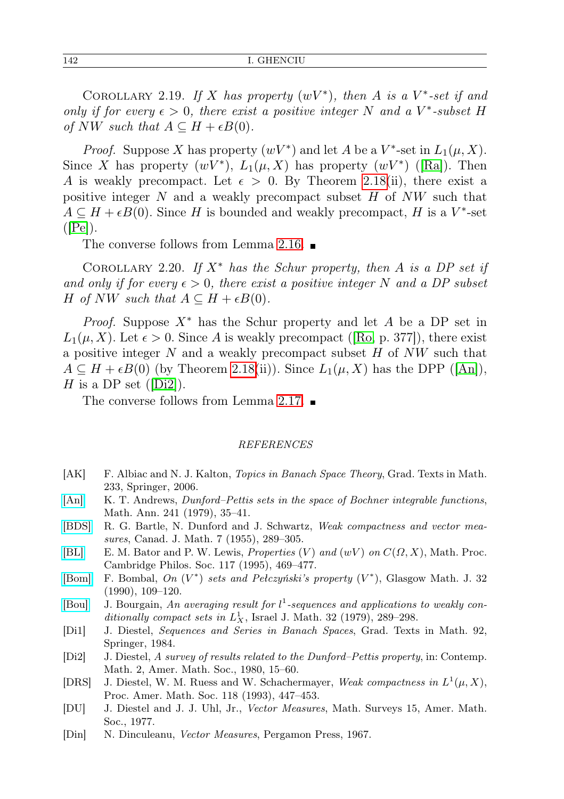COROLLARY 2.19. If X has property  $(wV^*)$ , then A is a  $V^*$ -set if and only if for every  $\epsilon > 0$ , there exist a positive integer N and a V<sup>\*</sup>-subset H of NW such that  $A \subseteq H + \epsilon B(0)$ .

*Proof.* Suppose X has property  $(wV^*)$  and let A be a V<sup>\*</sup>-set in  $L_1(\mu, X)$ . Since X has property  $(wV^*)$ ,  $L_1(\mu, X)$  has property  $(wV^*)$  ([\[Ra\]](#page-10-9)). Then A is weakly precompact. Let  $\epsilon > 0$ . By Theorem [2.18\(](#page-8-0)ii), there exist a positive integer  $N$  and a weakly precompact subset  $H$  of  $NW$  such that  $A \subseteq H + \epsilon B(0)$ . Since H is bounded and weakly precompact, H is a V<sup>\*</sup>-set  $(|\text{Pe}|)$ .

The converse follows from Lemma [2.16.](#page-7-1)

COROLLARY 2.20. If  $X^*$  has the Schur property, then A is a DP set if and only if for every  $\epsilon > 0$ , there exist a positive integer N and a DP subset H of NW such that  $A \subseteq H + \epsilon B(0)$ .

*Proof.* Suppose  $X^*$  has the Schur property and let A be a DP set in  $L_1(\mu, X)$ . Let  $\epsilon > 0$ . Since A is weakly precompact ([\[Ro,](#page-10-5) p. 377]), there exist a positive integer  $N$  and a weakly precompact subset  $H$  of  $NW$  such that  $A \subseteq H + \epsilon B(0)$  (by Theorem [2.18\(](#page-8-0)ii)). Since  $L_1(\mu, X)$  has the DPP ([\[An\]](#page-9-2)), H is a DP set  $(|Di2|)$ .

The converse follows from Lemma [2.17.](#page-8-1)

## REFERENCES

- <span id="page-9-9"></span>[AK] F. Albiac and N. J. Kalton, Topics in Banach Space Theory, Grad. Texts in Math. 233, Springer, 2006.
- <span id="page-9-2"></span>[\[An\]](http://dx.doi.org/10.1007/BF01406706) K. T. Andrews, Dunford–Pettis sets in the space of Bochner integrable functions, Math. Ann. 241 (1979), 35–41.
- <span id="page-9-4"></span>[\[BDS\]](http://dx.doi.org/10.4153/CJM-1955-032-1) R. G. Bartle, N. Dunford and J. Schwartz, Weak compactness and vector measures, Canad. J. Math. 7 (1955), 289–305.
- <span id="page-9-10"></span>[\[BL\]](http://dx.doi.org/10.1017/S0305004100073308) E. M. Bator and P. W. Lewis, Properties  $(V)$  and  $(wV)$  on  $C(\Omega, X)$ , Math. Proc. Cambridge Philos. Soc. 117 (1995), 469–477.
- <span id="page-9-0"></span>[\[Bom\]](http://dx.doi.org/10.1017/S0017089500009113) F. Bombal, On  $(V^*)$  sets and Pełczyński's property  $(V^*)$ , Glasgow Math. J. 32 (1990), 109–120.
- <span id="page-9-6"></span>[\[Bou\]](http://dx.doi.org/10.1007/BF02760458) J. Bourgain, An averaging result for  $l^1$ -sequences and applications to weakly conditionally compact sets in  $L_X^1$ , Israel J. Math. 32 (1979), 289-298.
- <span id="page-9-1"></span>[Di1] J. Diestel, Sequences and Series in Banach Spaces, Grad. Texts in Math. 92, Springer, 1984.
- <span id="page-9-3"></span>[Di2] J. Diestel, A survey of results related to the Dunford–Pettis property, in: Contemp. Math. 2, Amer. Math. Soc., 1980, 15–60.
- <span id="page-9-8"></span>[DRS] J. Diestel, W. M. Ruess and W. Schachermayer, Weak compactness in  $L^1(\mu, X)$ , Proc. Amer. Math. Soc. 118 (1993), 447–453.
- <span id="page-9-5"></span>[DU] J. Diestel and J. J. Uhl, Jr., Vector Measures, Math. Surveys 15, Amer. Math. Soc., 1977.
- <span id="page-9-7"></span>[Din] N. Dinculeanu, Vector Measures, Pergamon Press, 1967.